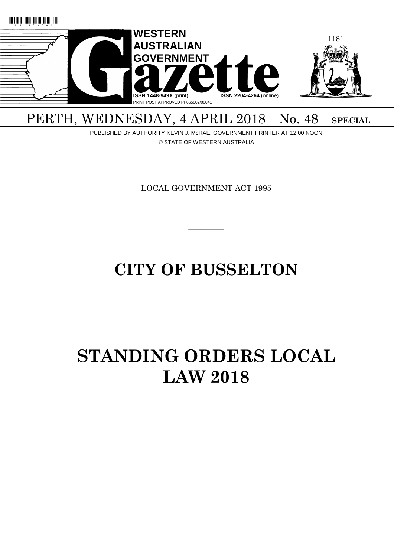

## PERTH, WEDNESDAY, 4 APRIL 2018 No. 48 SPECIAL

PUBLISHED BY AUTHORITY KEVIN J. McRAE, GOVERNMENT PRINTER AT 12.00 NOON © STATE OF WESTERN AUSTRALIA

LOCAL GOVERNMENT ACT 1995

 $\overline{\phantom{a}}$ 

## **CITY OF BUSSELTON**

———————————

# **STANDING ORDERS LOCAL LAW 2018**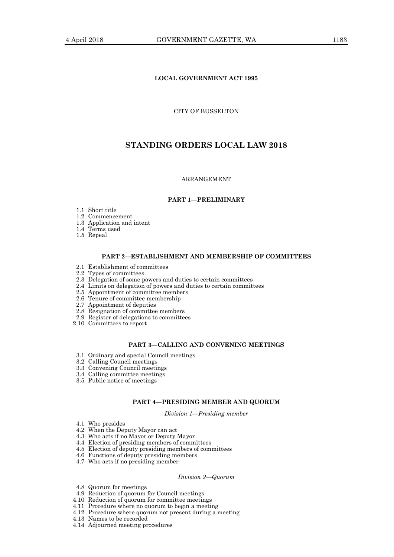## **LOCAL GOVERNMENT ACT 1995**

CITY OF BUSSELTON

## **STANDING ORDERS LOCAL LAW 2018**

## ARRANGEMENT

## **PART 1—PRELIMINARY**

1.1 Short title

1.2 Commencement

1.3 Application and intent

- 1.4 Terms used
- 1.5 Repeal

#### **PART 2—ESTABLISHMENT AND MEMBERSHIP OF COMMITTEES**

- 2.1 Establishment of committees
- 2.2 Types of committees
- 2.3 Delegation of some powers and duties to certain committees
- 2.4 Limits on delegation of powers and duties to certain committees
- 2.5 Appointment of committee members
- 2.6 Tenure of committee membership
- 2.7 Appointment of deputies
- 2.8 Resignation of committee members
- 2.9 Register of delegations to committees
- 2.10 Committees to report

#### **PART 3—CALLING AND CONVENING MEETINGS**

- 3.1 Ordinary and special Council meetings
- 3.2 Calling Council meetings
- 3.3 Convening Council meetings
- 3.4 Calling committee meetings
- 3.5 Public notice of meetings

## **PART 4—PRESIDING MEMBER AND QUORUM**

*Division 1—Presiding member*

- 4.1 Who presides
- 4.2 When the Deputy Mayor can act
- 4.3 Who acts if no Mayor or Deputy Mayor
- 4.4 Election of presiding members of committees
- 4.5 Election of deputy presiding members of committees
- 4.6 Functions of deputy presiding members
- 4.7 Who acts if no presiding member

#### *Division 2—Quorum*

- 4.8 Quorum for meetings
- 4.9 Reduction of quorum for Council meetings
- 4.10 Reduction of quorum for committee meetings
- 4.11 Procedure where no quorum to begin a meeting
- 4.12 Procedure where quorum not present during a meeting
- 4.13 Names to be recorded
- 4.14 Adjourned meeting procedures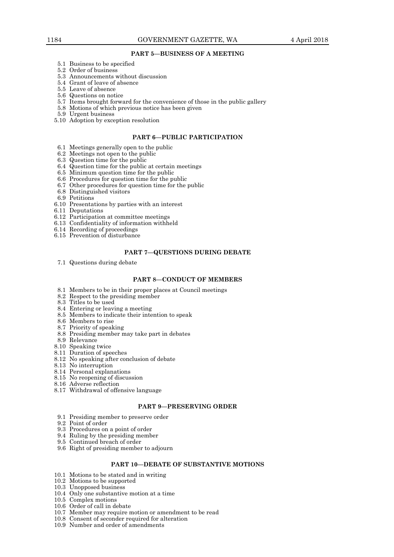## **PART 5—BUSINESS OF A MEETING**

- 5.1 Business to be specified
- 5.2 Order of business
- 5.3 Announcements without discussion
- 5.4 Grant of leave of absence
- 5.5 Leave of absence
- 5.6 Questions on notice
- 5.7 Items brought forward for the convenience of those in the public gallery
- 5.8 Motions of which previous notice has been given
- 5.9 Urgent business
- 5.10 Adoption by exception resolution

#### **PART 6—PUBLIC PARTICIPATION**

- 6.1 Meetings generally open to the public
- 6.2 Meetings not open to the public
- 6.3 Question time for the public
- 6.4 Question time for the public at certain meetings
- 6.5 Minimum question time for the public
- 6.6 Procedures for question time for the public 6.7 Other procedures for question time for the public
- 6.8 Distinguished visitors
- 6.9 Petitions
- 6.10 Presentations by parties with an interest
- 6.11 Deputations
- 6.12 Participation at committee meetings
- 6.13 Confidentiality of information withheld
- 6.14 Recording of proceedings
- 6.15 Prevention of disturbance

#### **PART 7—QUESTIONS DURING DEBATE**

7.1 Questions during debate

#### **PART 8—CONDUCT OF MEMBERS**

- 8.1 Members to be in their proper places at Council meetings
- 8.2 Respect to the presiding member
- 8.3 Titles to be used
- 8.4 Entering or leaving a meeting
- 8.5 Members to indicate their intention to speak
- 8.6 Members to rise
- 8.7 Priority of speaking
- 8.8 Presiding member may take part in debates
- 8.9 Relevance
- 8.10 Speaking twice
- 8.11 Duration of speeches
- 8.12 No speaking after conclusion of debate
- 8.13 No interruption
- 8.14 Personal explanations
- 8.15 No reopening of discussion
- 8.16 Adverse reflection
- 8.17 Withdrawal of offensive language

#### **PART 9—PRESERVING ORDER**

- 9.1 Presiding member to preserve order
- 9.2 Point of order
- 9.3 Procedures on a point of order
- 9.4 Ruling by the presiding member
- 9.5 Continued breach of order
- 9.6 Right of presiding member to adjourn

## **PART 10—DEBATE OF SUBSTANTIVE MOTIONS**

- 10.1 Motions to be stated and in writing
- 10.2 Motions to be supported
- 10.3 Unopposed business
- 10.4 Only one substantive motion at a time
- 10.5 Complex motions
- 10.6 Order of call in debate
- 10.7 Member may require motion or amendment to be read
- 10.8 Consent of seconder required for alteration
- 10.9 Number and order of amendments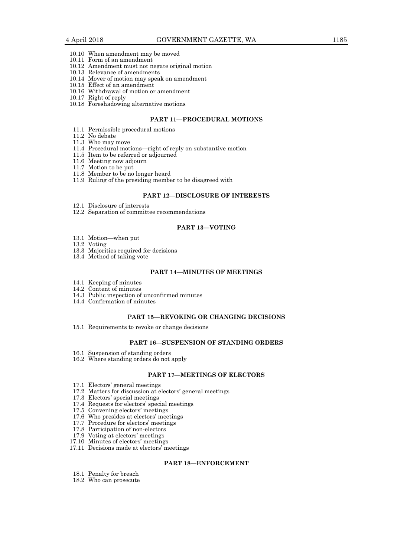- 10.10 When amendment may be moved
- 10.11 Form of an amendment
- 10.12 Amendment must not negate original motion
- 10.13 Relevance of amendments
- 10.14 Mover of motion may speak on amendment
- 10.15 Effect of an amendment
- 10.16 Withdrawal of motion or amendment
- 10.17 Right of reply
- 10.18 Foreshadowing alternative motions

## **PART 11—PROCEDURAL MOTIONS**

- 11.1 Permissible procedural motions
- 11.2 No debate
- 11.3 Who may move
- 11.4 Procedural motions—right of reply on substantive motion
- 11.5 Item to be referred or adjourned
- 11.6 Meeting now adjourn
- 11.7 Motion to be put
- 11.8 Member to be no longer heard
- 11.9 Ruling of the presiding member to be disagreed with

## **PART 12—DISCLOSURE OF INTERESTS**

- 12.1 Disclosure of interests
- 12.2 Separation of committee recommendations

## **PART 13—VOTING**

- 13.1 Motion—when put
- 13.2 Voting
- 13.3 Majorities required for decisions
- 13.4 Method of taking vote

## **PART 14—MINUTES OF MEETINGS**

- 14.1 Keeping of minutes
- 14.2 Content of minutes
- 14.3 Public inspection of unconfirmed minutes
- 14.4 Confirmation of minutes

## **PART 15—REVOKING OR CHANGING DECISIONS**

15.1 Requirements to revoke or change decisions

#### **PART 16—SUSPENSION OF STANDING ORDERS**

- 16.1 Suspension of standing orders
- 16.2 Where standing orders do not apply

## **PART 17—MEETINGS OF ELECTORS**

- 17.1 Electors' general meetings
- 17.2 Matters for discussion at electors' general meetings
- 17.3 Electors' special meetings
- 17.4 Requests for electors' special meetings
- 17.5 Convening electors' meetings
- 17.6 Who presides at electors' meetings
- 17.7 Procedure for electors' meetings
- 17.8 Participation of non-electors
- 17.9 Voting at electors' meetings
- 17.10 Minutes of electors' meetings
- 17.11 Decisions made at electors' meetings

#### **PART 18—ENFORCEMENT**

- 18.1 Penalty for breach
- 18.2 Who can prosecute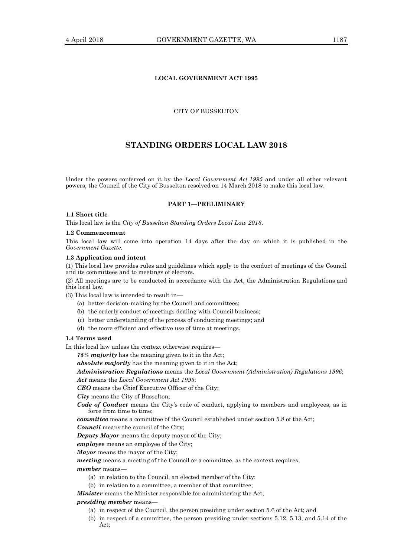## **LOCAL GOVERNMENT ACT 1995**

## CITY OF BUSSELTON

## **STANDING ORDERS LOCAL LAW 2018**

Under the powers conferred on it by the *Local Government Act 1995* and under all other relevant powers, the Council of the City of Busselton resolved on 14 March 2018 to make this local law.

#### **PART 1—PRELIMINARY**

## **1.1 Short title**

This local law is the *City of Busselton Standing Orders Local Law 2018*.

#### **1.2 Commencement**

This local law will come into operation 14 days after the day on which it is published in the *Government Gazette*.

#### **1.3 Application and intent**

(1) This local law provides rules and guidelines which apply to the conduct of meetings of the Council and its committees and to meetings of electors.

(2) All meetings are to be conducted in accordance with the Act, the Administration Regulations and this local law.

(3) This local law is intended to result in—

- (a) better decision-making by the Council and committees;
- (b) the orderly conduct of meetings dealing with Council business;
- (c) better understanding of the process of conducting meetings; and
- (d) the more efficient and effective use of time at meetings.

## **1.4 Terms used**

In this local law unless the context otherwise requires—

*75% majority* has the meaning given to it in the Act;

*absolute majority* has the meaning given to it in the Act;

*Administration Regulations* means the *Local Government (Administration) Regulations 1996*; *Act* means the *Local Government Act 1995*;

*CEO* means the Chief Executive Officer of the City;

*City* means the City of Busselton;

*Code of Conduct* means the City's code of conduct, applying to members and employees, as in force from time to time;

*committee* means a committee of the Council established under section 5.8 of the Act;

*Council* means the council of the City;

*Deputy Mayor* means the deputy mayor of the City;

*employee* means an employee of the City;

*Mayor* means the mayor of the City;

*meeting* means a meeting of the Council or a committee, as the context requires;

*member* means—

- (a) in relation to the Council, an elected member of the City;
- (b) in relation to a committee, a member of that committee;

*Minister* means the Minister responsible for administering the Act;

#### *presiding member* means—

- (a) in respect of the Council, the person presiding under section 5.6 of the Act; and
- (b) in respect of a committee, the person presiding under sections 5.12, 5.13, and 5.14 of the Act;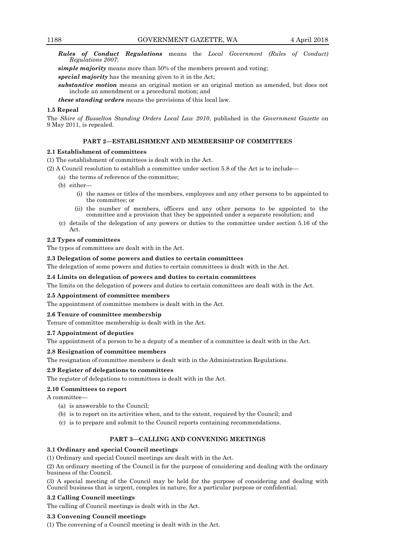*Rules of Conduct Regulations* means the *Local Government (Rules of Conduct) Regulations 2007*;

*simple majority* means more than 50% of the members present and voting;

*special majority* has the meaning given to it in the Act;

*substantive motion* means an original motion or an original motion as amended, but does not include an amendment or a procedural motion; and

*these standing orders* means the provisions of this local law.

## **1.5 Repeal**

The *Shire of Busselton Standing Orders Local Law 2010*, published in the *Government Gazette* on 9 May 2011, is repealed.

## **PART 2—ESTABLISHMENT AND MEMBERSHIP OF COMMITTEES**

## **2.1 Establishment of committees**

(1) The establishment of committees is dealt with in the Act.

(2) A Council resolution to establish a committee under section 5.8 of the Act is to include—

- (a) the terms of reference of the committee;
- (b) either-
	- (i) the names or titles of the members, employees and any other persons to be appointed to the committee; or
	- (ii) the number of members, officers and any other persons to be appointed to the committee and a provision that they be appointed under a separate resolution; and
- (c) details of the delegation of any powers or duties to the committee under section 5.16 of the Act.

## **2.2 Types of committees**

The types of committees are dealt with in the Act.

## **2.3 Delegation of some powers and duties to certain committees**

The delegation of some powers and duties to certain committees is dealt with in the Act.

## **2.4 Limits on delegation of powers and duties to certain committees**

The limits on the delegation of powers and duties to certain committees are dealt with in the Act.

#### **2.5 Appointment of committee members**

The appointment of committee members is dealt with in the Act.

#### **2.6 Tenure of committee membership**

Tenure of committee membership is dealt with in the Act.

#### **2.7 Appointment of deputies**

The appointment of a person to be a deputy of a member of a committee is dealt with in the Act.

## **2.8 Resignation of committee members**

The resignation of committee members is dealt with in the Administration Regulations.

## **2.9 Register of delegations to committees**

The register of delegations to committees is dealt with in the Act.

## **2.10 Committees to report**

A committee—

- (a) is answerable to the Council;
- (b) is to report on its activities when, and to the extent, required by the Council; and
- (c) is to prepare and submit to the Council reports containing recommendations.

## **PART 3—CALLING AND CONVENING MEETINGS**

## **3.1 Ordinary and special Council meetings**

(1) Ordinary and special Council meetings are dealt with in the Act.

(2) An ordinary meeting of the Council is for the purpose of considering and dealing with the ordinary business of the Council.

(3) A special meeting of the Council may be held for the purpose of considering and dealing with Council business that is urgent, complex in nature, for a particular purpose or confidential.

## **3.2 Calling Council meetings**

The calling of Council meetings is dealt with in the Act.

## **3.3 Convening Council meetings**

(1) The convening of a Council meeting is dealt with in the Act.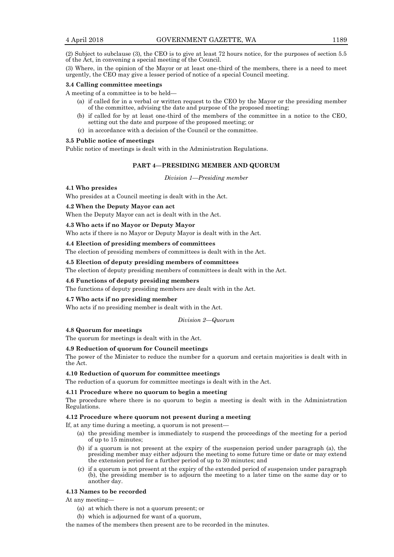(2) Subject to subclause (3), the CEO is to give at least 72 hours notice, for the purposes of section 5.5 of the Act, in convening a special meeting of the Council.

(3) Where, in the opinion of the Mayor or at least one-third of the members, there is a need to meet urgently, the CEO may give a lesser period of notice of a special Council meeting.

#### **3.4 Calling committee meetings**

A meeting of a committee is to be held—

- (a) if called for in a verbal or written request to the CEO by the Mayor or the presiding member of the committee, advising the date and purpose of the proposed meeting;
- (b) if called for by at least one-third of the members of the committee in a notice to the CEO, setting out the date and purpose of the proposed meeting; or
- (c) in accordance with a decision of the Council or the committee.

## **3.5 Public notice of meetings**

Public notice of meetings is dealt with in the Administration Regulations.

## **PART 4—PRESIDING MEMBER AND QUORUM**

*Division 1—Presiding member*

## **4.1 Who presides**

Who presides at a Council meeting is dealt with in the Act.

## **4.2 When the Deputy Mayor can act**

When the Deputy Mayor can act is dealt with in the Act.

#### **4.3 Who acts if no Mayor or Deputy Mayor**

Who acts if there is no Mayor or Deputy Mayor is dealt with in the Act.

## **4.4 Election of presiding members of committees**

The election of presiding members of committees is dealt with in the Act.

#### **4.5 Election of deputy presiding members of committees**

The election of deputy presiding members of committees is dealt with in the Act.

## **4.6 Functions of deputy presiding members**

The functions of deputy presiding members are dealt with in the Act.

## **4.7 Who acts if no presiding member**

Who acts if no presiding member is dealt with in the Act.

*Division 2—Quorum*

## **4.8 Quorum for meetings**

The quorum for meetings is dealt with in the Act.

#### **4.9 Reduction of quorum for Council meetings**

The power of the Minister to reduce the number for a quorum and certain majorities is dealt with in the Act.

## **4.10 Reduction of quorum for committee meetings**

The reduction of a quorum for committee meetings is dealt with in the Act.

#### **4.11 Procedure where no quorum to begin a meeting**

The procedure where there is no quorum to begin a meeting is dealt with in the Administration Regulations.

#### **4.12 Procedure where quorum not present during a meeting**

If, at any time during a meeting, a quorum is not present—

- (a) the presiding member is immediately to suspend the proceedings of the meeting for a period of up to 15 minutes;
- (b) if a quorum is not present at the expiry of the suspension period under paragraph (a), the presiding member may either adjourn the meeting to some future time or date or may extend the extension period for a further period of up to 30 minutes; and
- (c) if a quorum is not present at the expiry of the extended period of suspension under paragraph (b), the presiding member is to adjourn the meeting to a later time on the same day or to another day.

#### **4.13 Names to be recorded**

At any meeting—

- (a) at which there is not a quorum present; or
- (b) which is adjourned for want of a quorum,

the names of the members then present are to be recorded in the minutes.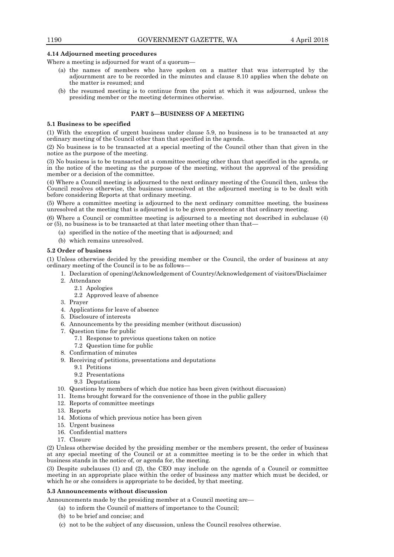### **4.14 Adjourned meeting procedures**

Where a meeting is adjourned for want of a quorum—

- (a) the names of members who have spoken on a matter that was interrupted by the adjournment are to be recorded in the minutes and clause 8.10 applies when the debate on the matter is resumed; and
- (b) the resumed meeting is to continue from the point at which it was adjourned, unless the presiding member or the meeting determines otherwise.

## **PART 5—BUSINESS OF A MEETING**

#### **5.1 Business to be specified**

(1) With the exception of urgent business under clause 5.9, no business is to be transacted at any ordinary meeting of the Council other than that specified in the agenda.

(2) No business is to be transacted at a special meeting of the Council other than that given in the notice as the purpose of the meeting.

(3) No business is to be transacted at a committee meeting other than that specified in the agenda, or in the notice of the meeting as the purpose of the meeting, without the approval of the presiding member or a decision of the committee.

(4) Where a Council meeting is adjourned to the next ordinary meeting of the Council then, unless the Council resolves otherwise, the business unresolved at the adjourned meeting is to be dealt with before considering Reports at that ordinary meeting.

(5) Where a committee meeting is adjourned to the next ordinary committee meeting, the business unresolved at the meeting that is adjourned is to be given precedence at that ordinary meeting.

(6) Where a Council or committee meeting is adjourned to a meeting not described in subclause (4) or (5), no business is to be transacted at that later meeting other than that—

(a) specified in the notice of the meeting that is adjourned; and

(b) which remains unresolved.

## **5.2 Order of business**

(1) Unless otherwise decided by the presiding member or the Council, the order of business at any ordinary meeting of the Council is to be as follows—

- 1. Declaration of opening/Acknowledgement of Country/Acknowledgement of visitors/Disclaimer
- 2. Attendance
	- 2.1 Apologies
		- 2.2 Approved leave of absence
- 3. Prayer
- 4. Applications for leave of absence
- 5. Disclosure of interests
- 6. Announcements by the presiding member (without discussion)
- 7. Question time for public
	- 7.1 Response to previous questions taken on notice
	- 7.2 Question time for public
- 8. Confirmation of minutes
- 9. Receiving of petitions, presentations and deputations
	- 9.1 Petitions
		- 9.2 Presentations
		- 9.3 Deputations
- 10. Questions by members of which due notice has been given (without discussion)
- 11. Items brought forward for the convenience of those in the public gallery
- 12. Reports of committee meetings
- 13. Reports
- 14. Motions of which previous notice has been given
- 15. Urgent business
- 16. Confidential matters
- 17. Closure

(2) Unless otherwise decided by the presiding member or the members present, the order of business at any special meeting of the Council or at a committee meeting is to be the order in which that business stands in the notice of, or agenda for, the meeting.

(3) Despite subclauses (1) and (2), the CEO may include on the agenda of a Council or committee meeting in an appropriate place within the order of business any matter which must be decided, or which he or she considers is appropriate to be decided, by that meeting.

#### **5.3 Announcements without discussion**

Announcements made by the presiding member at a Council meeting are—

- (a) to inform the Council of matters of importance to the Council;
- (b) to be brief and concise; and
- (c) not to be the subject of any discussion, unless the Council resolves otherwise.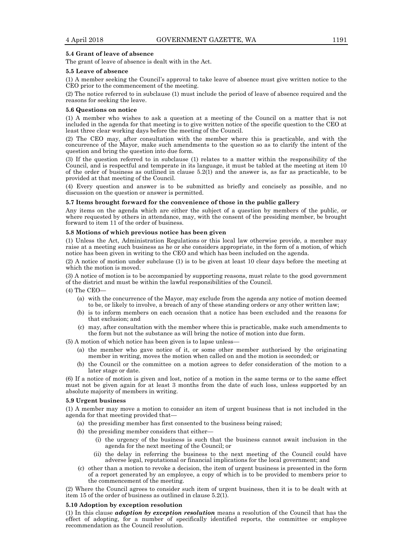### **5.4 Grant of leave of absence**

The grant of leave of absence is dealt with in the Act.

#### **5.5 Leave of absence**

(1) A member seeking the Council's approval to take leave of absence must give written notice to the CEO prior to the commencement of the meeting.

(2) The notice referred to in subclause (1) must include the period of leave of absence required and the reasons for seeking the leave.

#### **5.6 Questions on notice**

(1) A member who wishes to ask a question at a meeting of the Council on a matter that is not included in the agenda for that meeting is to give written notice of the specific question to the CEO at least three clear working days before the meeting of the Council.

(2) The CEO may, after consultation with the member where this is practicable, and with the concurrence of the Mayor, make such amendments to the question so as to clarify the intent of the question and bring the question into due form.

(3) If the question referred to in subclause (1) relates to a matter within the responsibility of the Council, and is respectful and temperate in its language, it must be tabled at the meeting at item 10 of the order of business as outlined in clause 5.2(1) and the answer is, as far as practicable, to be provided at that meeting of the Council.

(4) Every question and answer is to be submitted as briefly and concisely as possible, and no discussion on the question or answer is permitted.

#### **5.7 Items brought forward for the convenience of those in the public gallery**

Any items on the agenda which are either the subject of a question by members of the public, or where requested by others in attendance, may, with the consent of the presiding member, be brought forward to item 11 of the order of business.

#### **5.8 Motions of which previous notice has been given**

(1) Unless the Act, Administration Regulations or this local law otherwise provide, a member may raise at a meeting such business as he or she considers appropriate, in the form of a motion, of which notice has been given in writing to the CEO and which has been included on the agenda.

(2) A notice of motion under subclause (1) is to be given at least 10 clear days before the meeting at which the motion is moved.

(3) A notice of motion is to be accompanied by supporting reasons, must relate to the good government of the district and must be within the lawful responsibilities of the Council.

 $(4)$  The CEO-

- (a) with the concurrence of the Mayor, may exclude from the agenda any notice of motion deemed to be, or likely to involve, a breach of any of these standing orders or any other written law;
- (b) is to inform members on each occasion that a notice has been excluded and the reasons for that exclusion; and
- (c) may, after consultation with the member where this is practicable, make such amendments to the form but not the substance as will bring the notice of motion into due form.

(5) A motion of which notice has been given is to lapse unless—

- (a) the member who gave notice of it, or some other member authorised by the originating member in writing, moves the motion when called on and the motion is seconded; or
- (b) the Council or the committee on a motion agrees to defer consideration of the motion to a later stage or date.

(6) If a notice of motion is given and lost, notice of a motion in the same terms or to the same effect must not be given again for at least 3 months from the date of such loss, unless supported by an absolute majority of members in writing.

#### **5.9 Urgent business**

(1) A member may move a motion to consider an item of urgent business that is not included in the agenda for that meeting provided that—

- (a) the presiding member has first consented to the business being raised;
- (b) the presiding member considers that either—
	- (i) the urgency of the business is such that the business cannot await inclusion in the agenda for the next meeting of the Council; or
	- (ii) the delay in referring the business to the next meeting of the Council could have adverse legal, reputational or financial implications for the local government; and
- (c) other than a motion to revoke a decision, the item of urgent business is presented in the form of a report generated by an employee, a copy of which is to be provided to members prior to the commencement of the meeting.

(2) Where the Council agrees to consider such item of urgent business, then it is to be dealt with at item 15 of the order of business as outlined in clause 5.2(1).

#### **5.10 Adoption by exception resolution**

(1) In this clause *adoption by exception resolution* means a resolution of the Council that has the effect of adopting, for a number of specifically identified reports, the committee or employee recommendation as the Council resolution.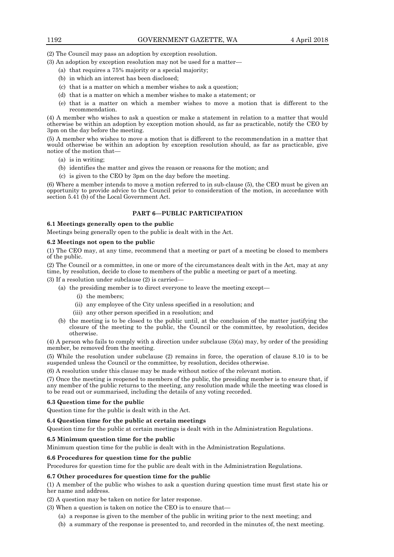(2) The Council may pass an adoption by exception resolution.

- (3) An adoption by exception resolution may not be used for a matter—
	- (a) that requires a 75% majority or a special majority;
	- (b) in which an interest has been disclosed;
	- (c) that is a matter on which a member wishes to ask a question;
	- (d) that is a matter on which a member wishes to make a statement; or
	- (e) that is a matter on which a member wishes to move a motion that is different to the recommendation.

(4) A member who wishes to ask a question or make a statement in relation to a matter that would otherwise be within an adoption by exception motion should, as far as practicable, notify the CEO by 3pm on the day before the meeting.

(5) A member who wishes to move a motion that is different to the recommendation in a matter that would otherwise be within an adoption by exception resolution should, as far as practicable, give notice of the motion that—

- (a) is in writing;
- (b) identifies the matter and gives the reason or reasons for the motion; and
- (c) is given to the CEO by 3pm on the day before the meeting.

(6) Where a member intends to move a motion referred to in sub-clause (5), the CEO must be given an opportunity to provide advice to the Council prior to consideration of the motion, in accordance with section 5.41 (b) of the Local Government Act.

## **PART 6—PUBLIC PARTICIPATION**

## **6.1 Meetings generally open to the public**

Meetings being generally open to the public is dealt with in the Act.

## **6.2 Meetings not open to the public**

(1) The CEO may, at any time, recommend that a meeting or part of a meeting be closed to members of the public.

(2) The Council or a committee, in one or more of the circumstances dealt with in the Act, may at any time, by resolution, decide to close to members of the public a meeting or part of a meeting.

(3) If a resolution under subclause (2) is carried—

- (a) the presiding member is to direct everyone to leave the meeting except—
	- (i) the members;
	- (ii) any employee of the City unless specified in a resolution; and
	- (iii) any other person specified in a resolution; and
- (b) the meeting is to be closed to the public until, at the conclusion of the matter justifying the closure of the meeting to the public, the Council or the committee, by resolution, decides otherwise.

(4) A person who fails to comply with a direction under subclause (3)(a) may, by order of the presiding member, be removed from the meeting.

(5) While the resolution under subclause (2) remains in force, the operation of clause 8.10 is to be suspended unless the Council or the committee, by resolution, decides otherwise.

(6) A resolution under this clause may be made without notice of the relevant motion.

(7) Once the meeting is reopened to members of the public, the presiding member is to ensure that, if any member of the public returns to the meeting, any resolution made while the meeting was closed is to be read out or summarised, including the details of any voting recorded.

#### **6.3 Question time for the public**

Question time for the public is dealt with in the Act.

## **6.4 Question time for the public at certain meetings**

Question time for the public at certain meetings is dealt with in the Administration Regulations.

## **6.5 Minimum question time for the public**

Minimum question time for the public is dealt with in the Administration Regulations.

## **6.6 Procedures for question time for the public**

Procedures for question time for the public are dealt with in the Administration Regulations.

## **6.7 Other procedures for question time for the public**

(1) A member of the public who wishes to ask a question during question time must first state his or her name and address.

(2) A question may be taken on notice for later response.

- (3) When a question is taken on notice the CEO is to ensure that—
	- (a) a response is given to the member of the public in writing prior to the next meeting; and
	- (b) a summary of the response is presented to, and recorded in the minutes of, the next meeting.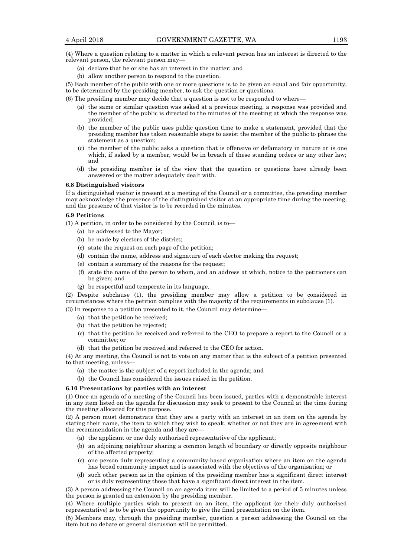(4) Where a question relating to a matter in which a relevant person has an interest is directed to the relevant person, the relevant person may—

- (a) declare that he or she has an interest in the matter; and
- (b) allow another person to respond to the question.

(5) Each member of the public with one or more questions is to be given an equal and fair opportunity, to be determined by the presiding member, to ask the question or questions.

(6) The presiding member may decide that a question is not to be responded to where—

- (a) the same or similar question was asked at a previous meeting, a response was provided and the member of the public is directed to the minutes of the meeting at which the response was provided;
- (b) the member of the public uses public question time to make a statement, provided that the presiding member has taken reasonable steps to assist the member of the public to phrase the statement as a question;
- (c) the member of the public asks a question that is offensive or defamatory in nature or is one which, if asked by a member, would be in breach of these standing orders or any other law; and
- (d) the presiding member is of the view that the question or questions have already been answered or the matter adequately dealt with.

#### **6.8 Distinguished visitors**

If a distinguished visitor is present at a meeting of the Council or a committee, the presiding member may acknowledge the presence of the distinguished visitor at an appropriate time during the meeting, and the presence of that visitor is to be recorded in the minutes.

#### **6.9 Petitions**

(1) A petition, in order to be considered by the Council, is to—

- (a) be addressed to the Mayor;
- (b) be made by electors of the district;
- (c) state the request on each page of the petition;
- (d) contain the name, address and signature of each elector making the request;
- (e) contain a summary of the reasons for the request;
- (f) state the name of the person to whom, and an address at which, notice to the petitioners can be given; and
- (g) be respectful and temperate in its language.

(2) Despite subclause (1), the presiding member may allow a petition to be considered in circumstances where the petition complies with the majority of the requirements in subclause (1).

(3) In response to a petition presented to it, the Council may determine—

- (a) that the petition be received;
- (b) that the petition be rejected;
- (c) that the petition be received and referred to the CEO to prepare a report to the Council or a committee; or

(d) that the petition be received and referred to the CEO for action.

(4) At any meeting, the Council is not to vote on any matter that is the subject of a petition presented to that meeting, unless—

- (a) the matter is the subject of a report included in the agenda; and
- (b) the Council has considered the issues raised in the petition.

#### **6.10 Presentations by parties with an interest**

(1) Once an agenda of a meeting of the Council has been issued, parties with a demonstrable interest in any item listed on the agenda for discussion may seek to present to the Council at the time during the meeting allocated for this purpose.

(2) A person must demonstrate that they are a party with an interest in an item on the agenda by stating their name, the item to which they wish to speak, whether or not they are in agreement with the recommendation in the agenda and they are—

- (a) the applicant or one duly authorised representative of the applicant;
- (b) an adjoining neighbour sharing a common length of boundary or directly opposite neighbour of the affected property;
- (c) one person duly representing a community-based organisation where an item on the agenda has broad community impact and is associated with the objectives of the organisation; or
- (d) such other person as in the opinion of the presiding member has a significant direct interest or is duly representing those that have a significant direct interest in the item.

(3) A person addressing the Council on an agenda item will be limited to a period of 5 minutes unless the person is granted an extension by the presiding member.

(4) Where multiple parties wish to present on an item, the applicant (or their duly authorised representative) is to be given the opportunity to give the final presentation on the item.

(5) Members may, through the presiding member, question a person addressing the Council on the item but no debate or general discussion will be permitted.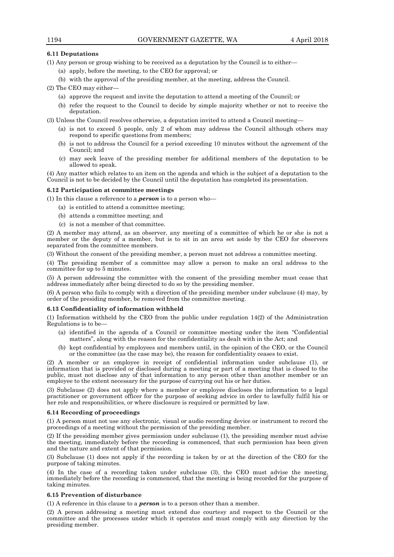## **6.11 Deputations**

- (1) Any person or group wishing to be received as a deputation by the Council is to either—
	- (a) apply, before the meeting, to the CEO for approval; or
	- (b) with the approval of the presiding member, at the meeting, address the Council.

(2) The CEO may either—

- (a) approve the request and invite the deputation to attend a meeting of the Council; or
- (b) refer the request to the Council to decide by simple majority whether or not to receive the deputation.

(3) Unless the Council resolves otherwise, a deputation invited to attend a Council meeting—

- (a) is not to exceed 5 people, only 2 of whom may address the Council although others may respond to specific questions from members;
- (b) is not to address the Council for a period exceeding 10 minutes without the agreement of the Council; and
- (c) may seek leave of the presiding member for additional members of the deputation to be allowed to speak.

(4) Any matter which relates to an item on the agenda and which is the subject of a deputation to the Council is not to be decided by the Council until the deputation has completed its presentation.

#### **6.12 Participation at committee meetings**

(1) In this clause a reference to a *person* is to a person who—

- (a) is entitled to attend a committee meeting;
- (b) attends a committee meeting; and
- (c) is not a member of that committee.

(2) A member may attend, as an observer, any meeting of a committee of which he or she is not a member or the deputy of a member, but is to sit in an area set aside by the CEO for observers separated from the committee members.

(3) Without the consent of the presiding member, a person must not address a committee meeting.

(4) The presiding member of a committee may allow a person to make an oral address to the committee for up to 5 minutes.

(5) A person addressing the committee with the consent of the presiding member must cease that address immediately after being directed to do so by the presiding member.

(6) A person who fails to comply with a direction of the presiding member under subclause (4) may, by order of the presiding member, be removed from the committee meeting.

#### **6.13 Confidentiality of information withheld**

(1) Information withheld by the CEO from the public under regulation 14(2) of the Administration Regulations is to be—

- (a) identified in the agenda of a Council or committee meeting under the item "Confidential matters", along with the reason for the confidentiality as dealt with in the Act; and
- (b) kept confidential by employees and members until, in the opinion of the CEO, or the Council or the committee (as the case may be), the reason for confidentiality ceases to exist.

(2) A member or an employee in receipt of confidential information under subclause (1), or information that is provided or disclosed during a meeting or part of a meeting that is closed to the public, must not disclose any of that information to any person other than another member or an employee to the extent necessary for the purpose of carrying out his or her duties.

(3) Subclause (2) does not apply where a member or employee discloses the information to a legal practitioner or government officer for the purpose of seeking advice in order to lawfully fulfil his or her role and responsibilities, or where disclosure is required or permitted by law.

#### **6.14 Recording of proceedings**

(1) A person must not use any electronic, visual or audio recording device or instrument to record the proceedings of a meeting without the permission of the presiding member.

(2) If the presiding member gives permission under subclause (1), the presiding member must advise the meeting, immediately before the recording is commenced, that such permission has been given and the nature and extent of that permission.

(3) Subclause (1) does not apply if the recording is taken by or at the direction of the CEO for the purpose of taking minutes.

(4) In the case of a recording taken under subclause (3), the CEO must advise the meeting, immediately before the recording is commenced, that the meeting is being recorded for the purpose of taking minutes.

#### **6.15 Prevention of disturbance**

(1) A reference in this clause to a *person* is to a person other than a member.

(2) A person addressing a meeting must extend due courtesy and respect to the Council or the committee and the processes under which it operates and must comply with any direction by the presiding member.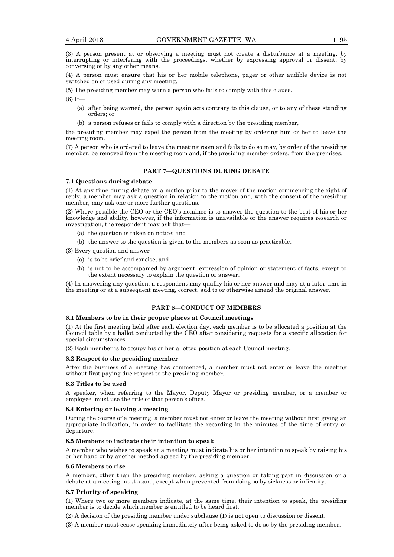(3) A person present at or observing a meeting must not create a disturbance at a meeting, by interrupting or interfering with the proceedings, whether by expressing approval or dissent, by conversing or by any other means.

(4) A person must ensure that his or her mobile telephone, pager or other audible device is not switched on or used during any meeting.

(5) The presiding member may warn a person who fails to comply with this clause.

(6) If—

- (a) after being warned, the person again acts contrary to this clause, or to any of these standing orders; or
- (b) a person refuses or fails to comply with a direction by the presiding member,

the presiding member may expel the person from the meeting by ordering him or her to leave the meeting room.

(7) A person who is ordered to leave the meeting room and fails to do so may, by order of the presiding member, be removed from the meeting room and, if the presiding member orders, from the premises.

## **PART 7—QUESTIONS DURING DEBATE**

#### **7.1 Questions during debate**

(1) At any time during debate on a motion prior to the mover of the motion commencing the right of reply, a member may ask a question in relation to the motion and, with the consent of the presiding member, may ask one or more further questions.

(2) Where possible the CEO or the CEO's nominee is to answer the question to the best of his or her knowledge and ability, however, if the information is unavailable or the answer requires research or investigation, the respondent may ask that—

(a) the question is taken on notice; and

(b) the answer to the question is given to the members as soon as practicable.

(3) Every question and answer—

- (a) is to be brief and concise; and
- (b) is not to be accompanied by argument, expression of opinion or statement of facts, except to the extent necessary to explain the question or answer.

(4) In answering any question, a respondent may qualify his or her answer and may at a later time in the meeting or at a subsequent meeting, correct, add to or otherwise amend the original answer.

## **PART 8—CONDUCT OF MEMBERS**

#### **8.1 Members to be in their proper places at Council meetings**

(1) At the first meeting held after each election day, each member is to be allocated a position at the Council table by a ballot conducted by the CEO after considering requests for a specific allocation for special circumstances.

(2) Each member is to occupy his or her allotted position at each Council meeting.

## **8.2 Respect to the presiding member**

After the business of a meeting has commenced, a member must not enter or leave the meeting without first paying due respect to the presiding member.

#### **8.3 Titles to be used**

A speaker, when referring to the Mayor, Deputy Mayor or presiding member, or a member or employee, must use the title of that person's office.

#### **8.4 Entering or leaving a meeting**

During the course of a meeting, a member must not enter or leave the meeting without first giving an appropriate indication, in order to facilitate the recording in the minutes of the time of entry or departure.

#### **8.5 Members to indicate their intention to speak**

A member who wishes to speak at a meeting must indicate his or her intention to speak by raising his or her hand or by another method agreed by the presiding member.

#### **8.6 Members to rise**

A member, other than the presiding member, asking a question or taking part in discussion or a debate at a meeting must stand, except when prevented from doing so by sickness or infirmity.

## **8.7 Priority of speaking**

(1) Where two or more members indicate, at the same time, their intention to speak, the presiding member is to decide which member is entitled to be heard first.

(2) A decision of the presiding member under subclause (1) is not open to discussion or dissent.

(3) A member must cease speaking immediately after being asked to do so by the presiding member.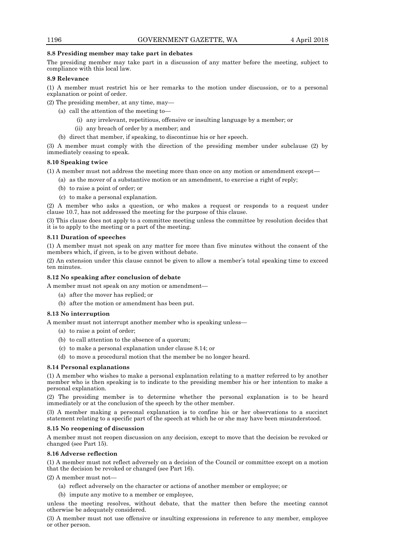## **8.8 Presiding member may take part in debates**

The presiding member may take part in a discussion of any matter before the meeting, subject to compliance with this local law.

## **8.9 Relevance**

(1) A member must restrict his or her remarks to the motion under discussion, or to a personal explanation or point of order.

(2) The presiding member, at any time, may—

- (a) call the attention of the meeting to—
	- (i) any irrelevant, repetitious, offensive or insulting language by a member; or
	- (ii) any breach of order by a member; and
- (b) direct that member, if speaking, to discontinue his or her speech.

(3) A member must comply with the direction of the presiding member under subclause (2) by immediately ceasing to speak.

## **8.10 Speaking twice**

(1) A member must not address the meeting more than once on any motion or amendment except—

- (a) as the mover of a substantive motion or an amendment, to exercise a right of reply;
- (b) to raise a point of order; or
- (c) to make a personal explanation.

(2) A member who asks a question, or who makes a request or responds to a request under clause 10.7, has not addressed the meeting for the purpose of this clause.

(3) This clause does not apply to a committee meeting unless the committee by resolution decides that it is to apply to the meeting or a part of the meeting.

## **8.11 Duration of speeches**

(1) A member must not speak on any matter for more than five minutes without the consent of the members which, if given, is to be given without debate.

(2) An extension under this clause cannot be given to allow a member's total speaking time to exceed ten minutes.

## **8.12 No speaking after conclusion of debate**

A member must not speak on any motion or amendment—

- (a) after the mover has replied; or
- (b) after the motion or amendment has been put.

## **8.13 No interruption**

- A member must not interrupt another member who is speaking unless—
	- (a) to raise a point of order;
	- (b) to call attention to the absence of a quorum;
	- (c) to make a personal explanation under clause 8.14; or
	- (d) to move a procedural motion that the member be no longer heard.

## **8.14 Personal explanations**

(1) A member who wishes to make a personal explanation relating to a matter referred to by another member who is then speaking is to indicate to the presiding member his or her intention to make a personal explanation.

(2) The presiding member is to determine whether the personal explanation is to be heard immediately or at the conclusion of the speech by the other member.

(3) A member making a personal explanation is to confine his or her observations to a succinct statement relating to a specific part of the speech at which he or she may have been misunderstood.

## **8.15 No reopening of discussion**

A member must not reopen discussion on any decision, except to move that the decision be revoked or changed (see Part 15).

## **8.16 Adverse reflection**

(1) A member must not reflect adversely on a decision of the Council or committee except on a motion that the decision be revoked or changed (see Part 16).

(2) A member must not—

- (a) reflect adversely on the character or actions of another member or employee; or
- (b) impute any motive to a member or employee,

unless the meeting resolves, without debate, that the matter then before the meeting cannot otherwise be adequately considered.

(3) A member must not use offensive or insulting expressions in reference to any member, employee or other person.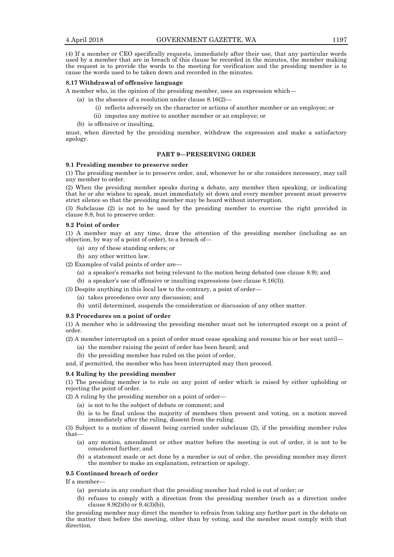(4) If a member or CEO specifically requests, immediately after their use, that any particular words used by a member that are in breach of this clause be recorded in the minutes, the member making the request is to provide the words to the meeting for verification and the presiding member is to cause the words used to be taken down and recorded in the minutes.

## **8.17 Withdrawal of offensive language**

A member who, in the opinion of the presiding member, uses an expression which—

- (a) in the absence of a resolution under clause  $8.16(2)$ 
	- (i) reflects adversely on the character or actions of another member or an employee; or
	- (ii) imputes any motive to another member or an employee; or
- (b) is offensive or insulting,

must, when directed by the presiding member, withdraw the expression and make a satisfactory apology.

#### **PART 9—PRESERVING ORDER**

#### **9.1 Presiding member to preserve order**

(1) The presiding member is to preserve order, and, whenever he or she considers necessary, may call any member to order.

(2) When the presiding member speaks during a debate, any member then speaking, or indicating that he or she wishes to speak, must immediately sit down and every member present must preserve strict silence so that the presiding member may be heard without interruption.

(3) Subclause (2) is not to be used by the presiding member to exercise the right provided in clause 8.8, but to preserve order.

#### **9.2 Point of order**

(1) A member may at any time, draw the attention of the presiding member (including as an objection, by way of a point of order), to a breach of—

- (a) any of these standing orders; or
- (b) any other written law.
- (2) Examples of valid points of order are—
	- (a) a speaker's remarks not being relevant to the motion being debated (see clause 8.9); and

(b) a speaker's use of offensive or insulting expressions (see clause 8.16(3)).

- (3) Despite anything in this local law to the contrary, a point of order—
	- (a) takes precedence over any discussion; and
	- (b) until determined, suspends the consideration or discussion of any other matter.

## **9.3 Procedures on a point of order**

(1) A member who is addressing the presiding member must not be interrupted except on a point of order.

(2) A member interrupted on a point of order must cease speaking and resume his or her seat until—

- (a) the member raising the point of order has been heard; and
- (b) the presiding member has ruled on the point of order,

and, if permitted, the member who has been interrupted may then proceed.

#### **9.4 Ruling by the presiding member**

(1) The presiding member is to rule on any point of order which is raised by either upholding or rejecting the point of order.

(2) A ruling by the presiding member on a point of order—

- (a) is not to be the subject of debate or comment; and
- (b) is to be final unless the majority of members then present and voting, on a motion moved immediately after the ruling, dissent from the ruling.

(3) Subject to a motion of dissent being carried under subclause (2), if the presiding member rules that—

- (a) any motion, amendment or other matter before the meeting is out of order, it is not to be considered further; and
- (b) a statement made or act done by a member is out of order, the presiding member may direct the member to make an explanation, retraction or apology.

#### **9.5 Continued breach of order**

If a member-

- (a) persists in any conduct that the presiding member had ruled is out of order; or
- (b) refuses to comply with a direction from the presiding member (such as a direction under clause  $8.9(2)(b)$  or  $9.4(3)(b)$ ),

the presiding member may direct the member to refrain from taking any further part in the debate on the matter then before the meeting, other than by voting, and the member must comply with that direction.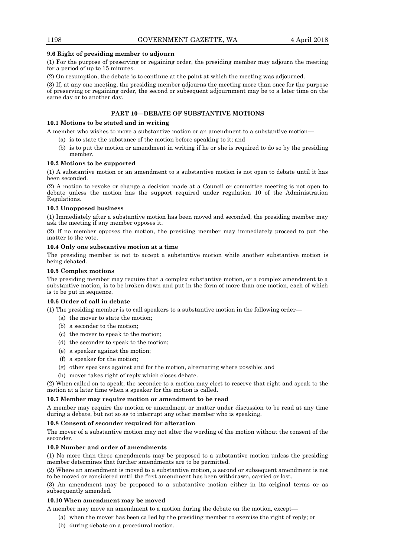## **9.6 Right of presiding member to adjourn**

(1) For the purpose of preserving or regaining order, the presiding member may adjourn the meeting for a period of up to 15 minutes.

(2) On resumption, the debate is to continue at the point at which the meeting was adjourned.

(3) If, at any one meeting, the presiding member adjourns the meeting more than once for the purpose of preserving or regaining order, the second or subsequent adjournment may be to a later time on the same day or to another day.

## **PART 10—DEBATE OF SUBSTANTIVE MOTIONS**

## **10.1 Motions to be stated and in writing**

A member who wishes to move a substantive motion or an amendment to a substantive motion—

- (a) is to state the substance of the motion before speaking to it; and
- (b) is to put the motion or amendment in writing if he or she is required to do so by the presiding member.

## **10.2 Motions to be supported**

(1) A substantive motion or an amendment to a substantive motion is not open to debate until it has been seconded.

(2) A motion to revoke or change a decision made at a Council or committee meeting is not open to debate unless the motion has the support required under regulation 10 of the Administration Regulations.

## **10.3 Unopposed business**

(1) Immediately after a substantive motion has been moved and seconded, the presiding member may ask the meeting if any member opposes it.

(2) If no member opposes the motion, the presiding member may immediately proceed to put the matter to the vote.

## **10.4 Only one substantive motion at a time**

The presiding member is not to accept a substantive motion while another substantive motion is being debated.

## **10.5 Complex motions**

The presiding member may require that a complex substantive motion, or a complex amendment to a substantive motion, is to be broken down and put in the form of more than one motion, each of which is to be put in sequence.

## **10.6 Order of call in debate**

(1) The presiding member is to call speakers to a substantive motion in the following order—

- (a) the mover to state the motion;
- (b) a seconder to the motion;
- (c) the mover to speak to the motion;
- (d) the seconder to speak to the motion;
- (e) a speaker against the motion;
- (f) a speaker for the motion;
- (g) other speakers against and for the motion, alternating where possible; and
- (h) mover takes right of reply which closes debate.

(2) When called on to speak, the seconder to a motion may elect to reserve that right and speak to the motion at a later time when a speaker for the motion is called.

## **10.7 Member may require motion or amendment to be read**

A member may require the motion or amendment or matter under discussion to be read at any time during a debate, but not so as to interrupt any other member who is speaking.

## **10.8 Consent of seconder required for alteration**

The mover of a substantive motion may not alter the wording of the motion without the consent of the seconder.

## **10.9 Number and order of amendments**

(1) No more than three amendments may be proposed to a substantive motion unless the presiding member determines that further amendments are to be permitted.

(2) Where an amendment is moved to a substantive motion, a second or subsequent amendment is not to be moved or considered until the first amendment has been withdrawn, carried or lost.

(3) An amendment may be proposed to a substantive motion either in its original terms or as subsequently amended.

## **10.10 When amendment may be moved**

A member may move an amendment to a motion during the debate on the motion, except—

- (a) when the mover has been called by the presiding member to exercise the right of reply; or
- (b) during debate on a procedural motion.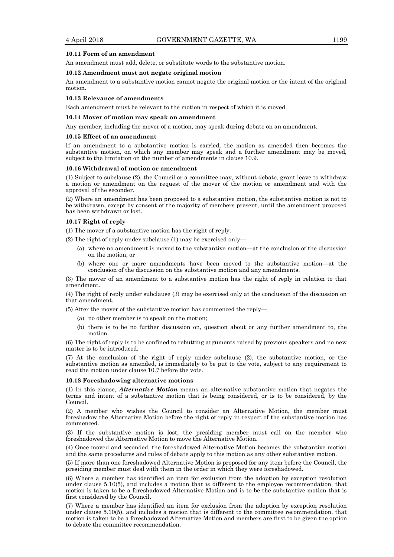#### **10.11 Form of an amendment**

An amendment must add, delete, or substitute words to the substantive motion.

#### **10.12 Amendment must not negate original motion**

An amendment to a substantive motion cannot negate the original motion or the intent of the original motion.

#### **10.13 Relevance of amendments**

Each amendment must be relevant to the motion in respect of which it is moved.

#### **10.14 Mover of motion may speak on amendment**

Any member, including the mover of a motion, may speak during debate on an amendment.

#### **10.15 Effect of an amendment**

If an amendment to a substantive motion is carried, the motion as amended then becomes the substantive motion, on which any member may speak and a further amendment may be moved, subject to the limitation on the number of amendments in clause 10.9.

#### **10.16 Withdrawal of motion or amendment**

(1) Subject to subclause (2), the Council or a committee may, without debate, grant leave to withdraw a motion or amendment on the request of the mover of the motion or amendment and with the approval of the seconder.

(2) Where an amendment has been proposed to a substantive motion, the substantive motion is not to be withdrawn, except by consent of the majority of members present, until the amendment proposed has been withdrawn or lost.

#### **10.17 Right of reply**

(1) The mover of a substantive motion has the right of reply.

- (2) The right of reply under subclause (1) may be exercised only—
	- (a) where no amendment is moved to the substantive motion—at the conclusion of the discussion on the motion; or
	- (b) where one or more amendments have been moved to the substantive motion—at the conclusion of the discussion on the substantive motion and any amendments.

(3) The mover of an amendment to a substantive motion has the right of reply in relation to that amendment.

(4) The right of reply under subclause (3) may be exercised only at the conclusion of the discussion on that amendment.

(5) After the mover of the substantive motion has commenced the reply—

- (a) no other member is to speak on the motion;
- (b) there is to be no further discussion on, question about or any further amendment to, the motion.

(6) The right of reply is to be confined to rebutting arguments raised by previous speakers and no new matter is to be introduced.

(7) At the conclusion of the right of reply under subclause (2), the substantive motion, or the substantive motion as amended, is immediately to be put to the vote, subject to any requirement to read the motion under clause 10.7 before the vote.

#### **10.18 Foreshadowing alternative motions**

(1) In this clause, *Alternative Motion* means an alternative substantive motion that negates the terms and intent of a substantive motion that is being considered, or is to be considered, by the Council.

(2) A member who wishes the Council to consider an Alternative Motion, the member must foreshadow the Alternative Motion before the right of reply in respect of the substantive motion has commenced.

(3) If the substantive motion is lost, the presiding member must call on the member who foreshadowed the Alternative Motion to move the Alternative Motion.

(4) Once moved and seconded, the foreshadowed Alternative Motion becomes the substantive motion and the same procedures and rules of debate apply to this motion as any other substantive motion.

(5) If more than one foreshadowed Alternative Motion is proposed for any item before the Council, the presiding member must deal with them in the order in which they were foreshadowed.

(6) Where a member has identified an item for exclusion from the adoption by exception resolution under clause 5.10(5), and includes a motion that is different to the employee recommendation, that motion is taken to be a foreshadowed Alternative Motion and is to be the substantive motion that is first considered by the Council.

(7) Where a member has identified an item for exclusion from the adoption by exception resolution under clause 5.10(5), and includes a motion that is different to the committee recommendation, that motion is taken to be a foreshadowed Alternative Motion and members are first to be given the option to debate the committee recommendation.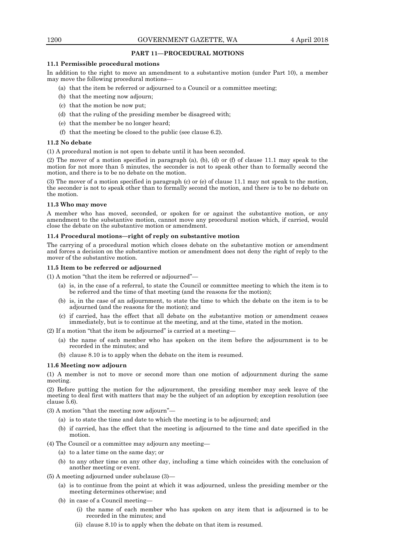## **PART 11—PROCEDURAL MOTIONS**

## **11.1 Permissible procedural motions**

In addition to the right to move an amendment to a substantive motion (under Part 10), a member may move the following procedural motions—

- (a) that the item be referred or adjourned to a Council or a committee meeting;
- (b) that the meeting now adjourn;
- (c) that the motion be now put;
- (d) that the ruling of the presiding member be disagreed with;
- (e) that the member be no longer heard;
- (f) that the meeting be closed to the public (see clause 6.2).

#### **11.2 No debate**

(1) A procedural motion is not open to debate until it has been seconded.

(2) The mover of a motion specified in paragraph (a), (b), (d) or (f) of clause 11.1 may speak to the motion for not more than 5 minutes, the seconder is not to speak other than to formally second the motion, and there is to be no debate on the motion.

(3) The mover of a motion specified in paragraph (c) or (e) of clause 11.1 may not speak to the motion, the seconder is not to speak other than to formally second the motion, and there is to be no debate on the motion.

## **11.3 Who may move**

A member who has moved, seconded, or spoken for or against the substantive motion, or any amendment to the substantive motion, cannot move any procedural motion which, if carried, would close the debate on the substantive motion or amendment.

## **11.4 Procedural motions—right of reply on substantive motion**

The carrying of a procedural motion which closes debate on the substantive motion or amendment and forces a decision on the substantive motion or amendment does not deny the right of reply to the mover of the substantive motion.

## **11.5 Item to be referred or adjourned**

(1) A motion "that the item be referred or adjourned"—

- (a) is, in the case of a referral, to state the Council or committee meeting to which the item is to be referred and the time of that meeting (and the reasons for the motion);
- (b) is, in the case of an adjournment, to state the time to which the debate on the item is to be adjourned (and the reasons for the motion); and
- (c) if carried, has the effect that all debate on the substantive motion or amendment ceases immediately, but is to continue at the meeting, and at the time, stated in the motion.

(2) If a motion "that the item be adjourned" is carried at a meeting—

- (a) the name of each member who has spoken on the item before the adjournment is to be recorded in the minutes; and
- (b) clause 8.10 is to apply when the debate on the item is resumed.

## **11.6 Meeting now adjourn**

(1) A member is not to move or second more than one motion of adjournment during the same meeting.

(2) Before putting the motion for the adjournment, the presiding member may seek leave of the meeting to deal first with matters that may be the subject of an adoption by exception resolution (see clause 5.6).

(3) A motion "that the meeting now adjourn"—

- (a) is to state the time and date to which the meeting is to be adjourned; and
- (b) if carried, has the effect that the meeting is adjourned to the time and date specified in the motion.

(4) The Council or a committee may adjourn any meeting—

- (a) to a later time on the same day; or
- (b) to any other time on any other day, including a time which coincides with the conclusion of another meeting or event.
- (5) A meeting adjourned under subclause (3)—
	- (a) is to continue from the point at which it was adjourned, unless the presiding member or the meeting determines otherwise; and
	- (b) in case of a Council meeting—
		- (i) the name of each member who has spoken on any item that is adjourned is to be recorded in the minutes; and
		- (ii) clause 8.10 is to apply when the debate on that item is resumed.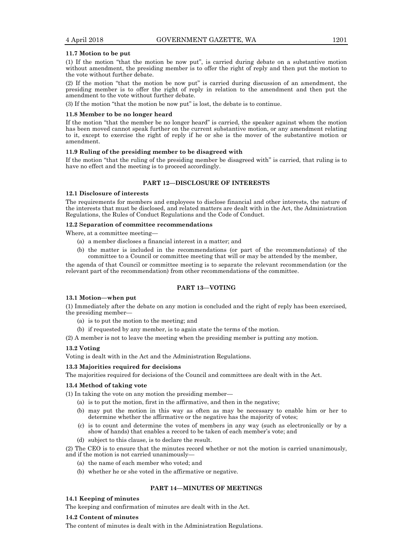#### **11.7 Motion to be put**

(1) If the motion "that the motion be now put", is carried during debate on a substantive motion without amendment, the presiding member is to offer the right of reply and then put the motion to the vote without further debate.

(2) If the motion "that the motion be now put" is carried during discussion of an amendment, the presiding member is to offer the right of reply in relation to the amendment and then put the amendment to the vote without further debate.

(3) If the motion "that the motion be now put" is lost, the debate is to continue.

## **11.8 Member to be no longer heard**

If the motion "that the member be no longer heard" is carried, the speaker against whom the motion has been moved cannot speak further on the current substantive motion, or any amendment relating to it, except to exercise the right of reply if he or she is the mover of the substantive motion or amendment.

#### **11.9 Ruling of the presiding member to be disagreed with**

If the motion "that the ruling of the presiding member be disagreed with" is carried, that ruling is to have no effect and the meeting is to proceed accordingly.

#### **PART 12—DISCLOSURE OF INTERESTS**

## **12.1 Disclosure of interests**

The requirements for members and employees to disclose financial and other interests, the nature of the interests that must be disclosed, and related matters are dealt with in the Act, the Administration Regulations, the Rules of Conduct Regulations and the Code of Conduct.

## **12.2 Separation of committee recommendations**

Where, at a committee meeting—

- (a) a member discloses a financial interest in a matter; and
- (b) the matter is included in the recommendations (or part of the recommendations) of the committee to a Council or committee meeting that will or may be attended by the member,

the agenda of that Council or committee meeting is to separate the relevant recommendation (or the relevant part of the recommendation) from other recommendations of the committee.

## **PART 13—VOTING**

## **13.1 Motion—when put**

(1) Immediately after the debate on any motion is concluded and the right of reply has been exercised, the presiding member—

- (a) is to put the motion to the meeting; and
- (b) if requested by any member, is to again state the terms of the motion.

(2) A member is not to leave the meeting when the presiding member is putting any motion.

## **13.2 Voting**

Voting is dealt with in the Act and the Administration Regulations.

#### **13.3 Majorities required for decisions**

The majorities required for decisions of the Council and committees are dealt with in the Act.

#### **13.4 Method of taking vote**

(1) In taking the vote on any motion the presiding member—

- (a) is to put the motion, first in the affirmative, and then in the negative;
- (b) may put the motion in this way as often as may be necessary to enable him or her to determine whether the affirmative or the negative has the majority of votes;
- (c) is to count and determine the votes of members in any way (such as electronically or by a show of hands) that enables a record to be taken of each member's vote; and
- (d) subject to this clause, is to declare the result.

(2) The CEO is to ensure that the minutes record whether or not the motion is carried unanimously, and if the motion is not carried unanimously—

- (a) the name of each member who voted; and
- (b) whether he or she voted in the affirmative or negative.

## **PART 14—MINUTES OF MEETINGS**

## **14.1 Keeping of minutes**

The keeping and confirmation of minutes are dealt with in the Act.

#### **14.2 Content of minutes**

The content of minutes is dealt with in the Administration Regulations.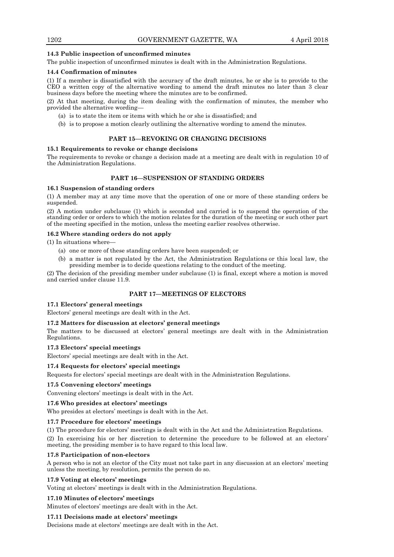## **14.3 Public inspection of unconfirmed minutes**

The public inspection of unconfirmed minutes is dealt with in the Administration Regulations.

## **14.4 Confirmation of minutes**

(1) If a member is dissatisfied with the accuracy of the draft minutes, he or she is to provide to the CEO a written copy of the alternative wording to amend the draft minutes no later than 3 clear business days before the meeting where the minutes are to be confirmed.

(2) At that meeting, during the item dealing with the confirmation of minutes, the member who provided the alternative wording—

- (a) is to state the item or items with which he or she is dissatisfied; and
- (b) is to propose a motion clearly outlining the alternative wording to amend the minutes.

## **PART 15—REVOKING OR CHANGING DECISIONS**

## **15.1 Requirements to revoke or change decisions**

The requirements to revoke or change a decision made at a meeting are dealt with in regulation 10 of the Administration Regulations.

## **PART 16—SUSPENSION OF STANDING ORDERS**

## **16.1 Suspension of standing orders**

(1) A member may at any time move that the operation of one or more of these standing orders be suspended.

(2) A motion under subclause (1) which is seconded and carried is to suspend the operation of the standing order or orders to which the motion relates for the duration of the meeting or such other part of the meeting specified in the motion, unless the meeting earlier resolves otherwise.

## **16.2 Where standing orders do not apply**

(1) In situations where—

- (a) one or more of these standing orders have been suspended; or
- (b) a matter is not regulated by the Act, the Administration Regulations or this local law, the presiding member is to decide questions relating to the conduct of the meeting.

(2) The decision of the presiding member under subclause (1) is final, except where a motion is moved and carried under clause 11.9.

## **PART 17—MEETINGS OF ELECTORS**

#### **17.1 Electors' general meetings**

Electors' general meetings are dealt with in the Act.

## **17.2 Matters for discussion at electors' general meetings**

The matters to be discussed at electors' general meetings are dealt with in the Administration Regulations.

#### **17.3 Electors' special meetings**

Electors' special meetings are dealt with in the Act.

#### **17.4 Requests for electors' special meetings**

Requests for electors' special meetings are dealt with in the Administration Regulations.

## **17.5 Convening electors' meetings**

Convening electors' meetings is dealt with in the Act.

## **17.6 Who presides at electors' meetings**

Who presides at electors' meetings is dealt with in the Act.

## **17.7 Procedure for electors' meetings**

(1) The procedure for electors' meetings is dealt with in the Act and the Administration Regulations.

(2) In exercising his or her discretion to determine the procedure to be followed at an electors' meeting, the presiding member is to have regard to this local law.

#### **17.8 Participation of non-electors**

A person who is not an elector of the City must not take part in any discussion at an electors' meeting unless the meeting, by resolution, permits the person do so.

#### **17.9 Voting at electors' meetings**

Voting at electors' meetings is dealt with in the Administration Regulations.

## **17.10 Minutes of electors' meetings**

Minutes of electors' meetings are dealt with in the Act.

## **17.11 Decisions made at electors' meetings**

Decisions made at electors' meetings are dealt with in the Act.